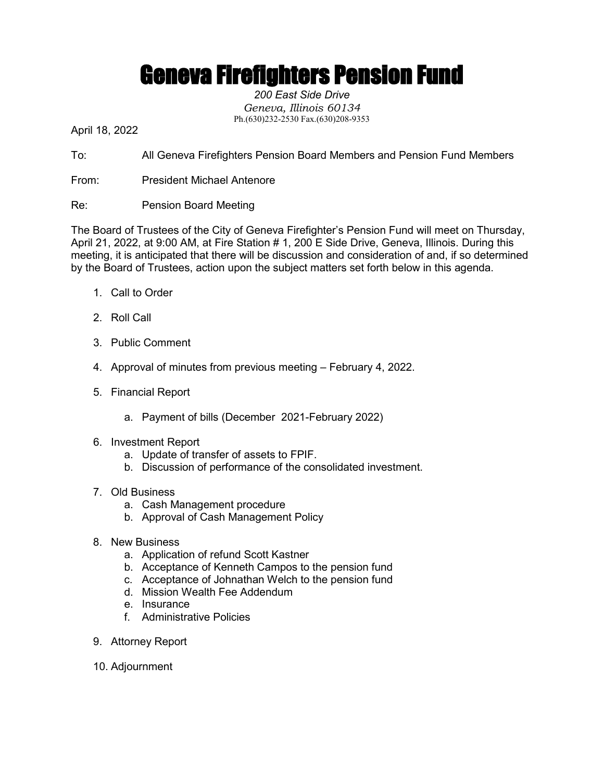## Geneva Firefighters Pension Fund

*200 East Side Drive Geneva, Illinois 60134* Ph.(630)232-2530 Fax.(630)208-9353

April 18, 2022

To: All Geneva Firefighters Pension Board Members and Pension Fund Members

- From: President Michael Antenore
- Re: Pension Board Meeting

The Board of Trustees of the City of Geneva Firefighter's Pension Fund will meet on Thursday, April 21, 2022, at 9:00 AM, at Fire Station # 1, 200 E Side Drive, Geneva, Illinois. During this meeting, it is anticipated that there will be discussion and consideration of and, if so determined by the Board of Trustees, action upon the subject matters set forth below in this agenda.

- 1. Call to Order
- 2. Roll Call
- 3. Public Comment
- 4. Approval of minutes from previous meeting February 4, 2022.
- 5. Financial Report
	- a. Payment of bills (December 2021-February 2022)
- 6. Investment Report
	- a. Update of transfer of assets to FPIF.
	- b. Discussion of performance of the consolidated investment.
- 7. Old Business
	- a. Cash Management procedure
	- b. Approval of Cash Management Policy
- 8. New Business
	- a. Application of refund Scott Kastner
	- b. Acceptance of Kenneth Campos to the pension fund
	- c. Acceptance of Johnathan Welch to the pension fund
	- d. Mission Wealth Fee Addendum
	- e. Insurance
	- f. Administrative Policies
- 9. Attorney Report
- 10. Adjournment